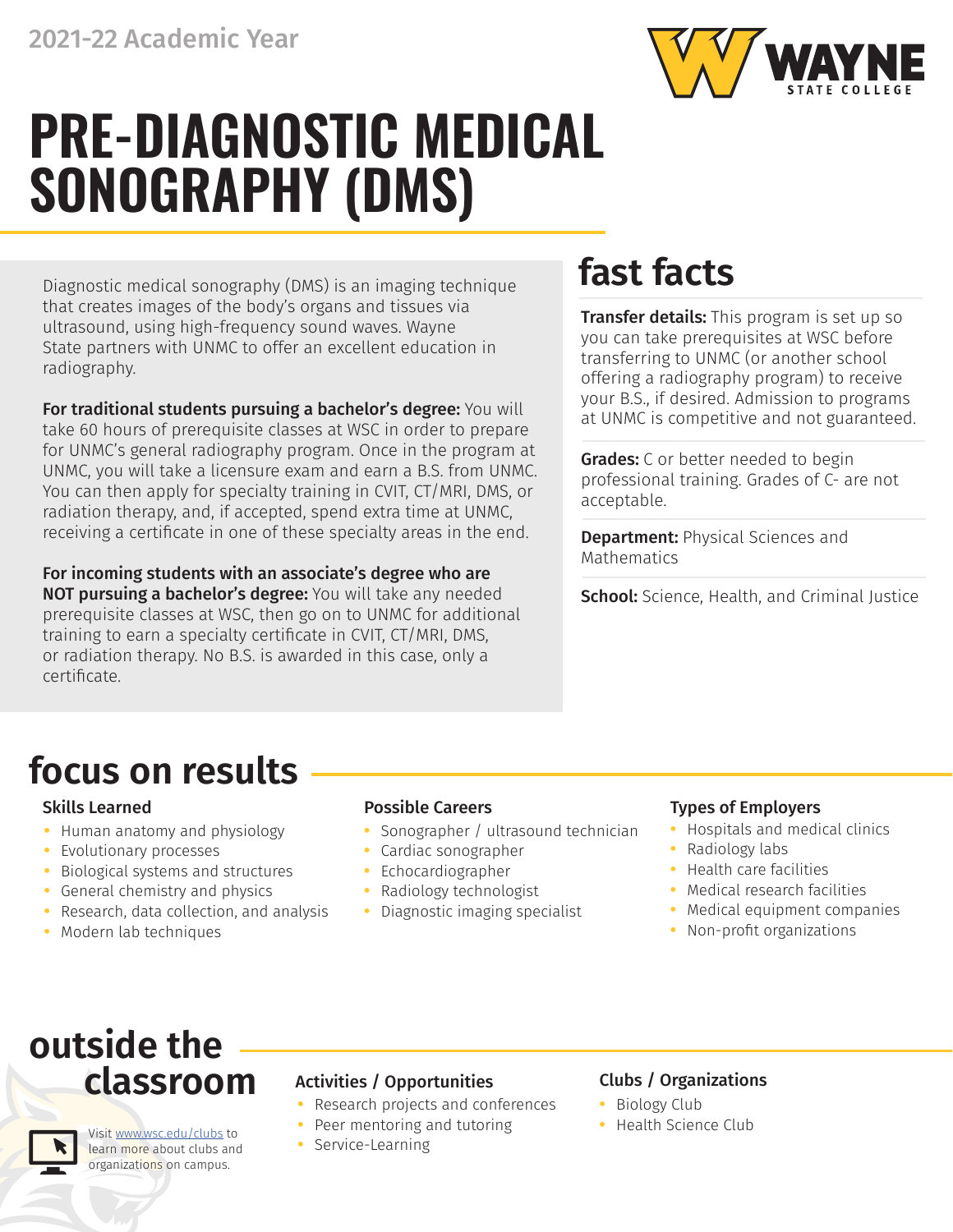

# **PRE-DIAGNOSTIC MEDICAL SONOGRAPHY (DMS)**

Diagnostic medical sonography (DMS) is an imaging technique that creates images of the body's organs and tissues via ultrasound, using high-frequency sound waves. Wayne State partners with UNMC to offer an excellent education in radiography.

For traditional students pursuing a bachelor's degree: You will take 60 hours of prerequisite classes at WSC in order to prepare for UNMC's general radiography program. Once in the program at UNMC, you will take a licensure exam and earn a B.S. from UNMC. You can then apply for specialty training in CVIT, CT/MRI, DMS, or radiation therapy, and, if accepted, spend extra time at UNMC, receiving a certificate in one of these specialty areas in the end.

For incoming students with an associate's degree who are NOT pursuing a bachelor's degree: You will take any needed prerequisite classes at WSC, then go on to UNMC for additional training to earn a specialty certificate in CVIT, CT/MRI, DMS, or radiation therapy. No B.S. is awarded in this case, only a certificate.

## **fast facts**

**Transfer details:** This program is set up so you can take prerequisites at WSC before transferring to UNMC (or another school offering a radiography program) to receive your B.S., if desired. Admission to programs at UNMC is competitive and not guaranteed.

**Grades:** C or better needed to begin professional training. Grades of C- are not acceptable.

**Department: Physical Sciences and** Mathematics

School: Science, Health, and Criminal Justice

## **focus on results**

- **•** Human anatomy and physiology
- **•** Evolutionary processes
- **•** Biological systems and structures
- **•** General chemistry and physics
- **•** Research, data collection, and analysis
- **•** Modern lab techniques

- **•** Sonographer / ultrasound technician
- **•** Cardiac sonographer
- **•** Echocardiographer
- **•** Radiology technologist
- **•** Diagnostic imaging specialist

### Skills Learned Possible Careers Types of Employers

- **•** Hospitals and medical clinics
- **•** Radiology labs
- **•** Health care facilities
- **•** Medical research facilities
- **•** Medical equipment companies
- **•** Non-profit organizations

## **outside the classroom**

Visit [www.wsc.edu/clubs](https://www.wsc.edu/clubs) to learn more about clubs and organizations on campus.

### Activities / Opportunities Clubs / Organizations

- **•** Research projects and conferences
- **•** Peer mentoring and tutoring
- **•** Service-Learning

- **•** Biology Club
- **•** Health Science Club